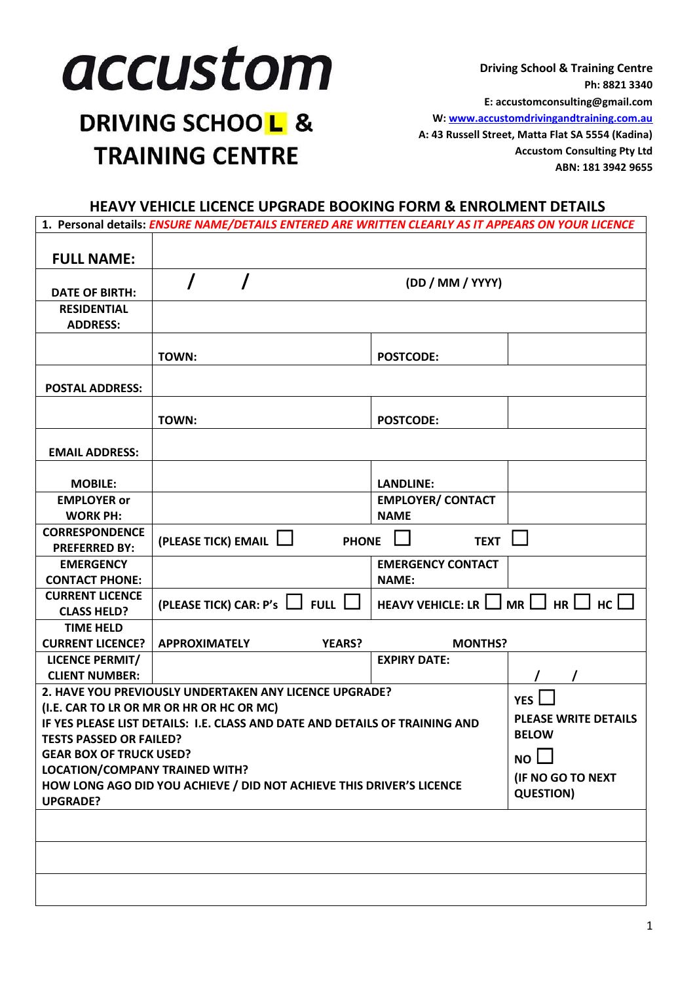

## DRIVING SCHOOL & **TRAINING CENTRE**

**Driving School & Training Centre Ph: 8821 3340 E: accustomconsulting@gmail.com W[: www.accustomdrivingandtraining.com.au](http://www.accustomdrivingandtraining.com.au/) A: 43 Russell Street, Matta Flat SA 5554 (Kadina) Accustom Consulting Pty Ltd ABN: 181 3942 9655**

## **HEAVY VEHICLE LICENCE UPGRADE BOOKING FORM & ENROLMENT DETAILS**

| 1. Personal details: ENSURE NAME/DETAILS ENTERED ARE WRITTEN CLEARLY AS IT APPEARS ON YOUR LICENCE               |                                            |                                              |           |  |
|------------------------------------------------------------------------------------------------------------------|--------------------------------------------|----------------------------------------------|-----------|--|
| <b>FULL NAME:</b>                                                                                                |                                            |                                              |           |  |
|                                                                                                                  |                                            | (DD / MM / YYYY)                             |           |  |
| <b>DATE OF BIRTH:</b>                                                                                            |                                            |                                              |           |  |
| <b>RESIDENTIAL</b>                                                                                               |                                            |                                              |           |  |
| <b>ADDRESS:</b>                                                                                                  |                                            |                                              |           |  |
|                                                                                                                  | TOWN:                                      | <b>POSTCODE:</b>                             |           |  |
| <b>POSTAL ADDRESS:</b>                                                                                           |                                            |                                              |           |  |
|                                                                                                                  | TOWN:                                      | <b>POSTCODE:</b>                             |           |  |
| <b>EMAIL ADDRESS:</b>                                                                                            |                                            |                                              |           |  |
| <b>MOBILE:</b>                                                                                                   |                                            | <b>LANDLINE:</b>                             |           |  |
| <b>EMPLOYER or</b>                                                                                               |                                            | <b>EMPLOYER/ CONTACT</b>                     |           |  |
| <b>WORK PH:</b>                                                                                                  |                                            | <b>NAME</b>                                  |           |  |
| <b>CORRESPONDENCE</b>                                                                                            | (PLEASE TICK) EMAIL $\Box$<br><b>PHONE</b> | <b>TEXT</b>                                  |           |  |
| <b>PREFERRED BY:</b>                                                                                             |                                            |                                              |           |  |
| <b>EMERGENCY</b>                                                                                                 |                                            | <b>EMERGENCY CONTACT</b>                     |           |  |
| <b>CONTACT PHONE:</b>                                                                                            |                                            | <b>NAME:</b>                                 |           |  |
| <b>CURRENT LICENCE</b>                                                                                           | FULL $\Box$<br>(PLEASE TICK) CAR: $P's$    | HEAVY VEHICLE: LR $\Box$ MR $\Box$ HR $\Box$ | нс $\Box$ |  |
| <b>CLASS HELD?</b>                                                                                               |                                            |                                              |           |  |
| <b>TIME HELD</b>                                                                                                 |                                            |                                              |           |  |
| <b>CURRENT LICENCE?</b>                                                                                          | <b>APPROXIMATELY</b><br><b>YEARS?</b>      | <b>MONTHS?</b>                               |           |  |
| <b>LICENCE PERMIT/</b><br><b>CLIENT NUMBER:</b>                                                                  |                                            | <b>EXPIRY DATE:</b>                          |           |  |
|                                                                                                                  |                                            |                                              |           |  |
| 2. HAVE YOU PREVIOUSLY UNDERTAKEN ANY LICENCE UPGRADE?<br><b>YES</b><br>(I.E. CAR TO LR OR MR OR HR OR HC OR MC) |                                            |                                              |           |  |
| <b>PLEASE WRITE DETAILS</b><br>IF YES PLEASE LIST DETAILS: I.E. CLASS AND DATE AND DETAILS OF TRAINING AND       |                                            |                                              |           |  |
| <b>BELOW</b><br><b>TESTS PASSED OR FAILED?</b>                                                                   |                                            |                                              |           |  |
| <b>GEAR BOX OF TRUCK USED?</b><br>NO <sub>L</sub>                                                                |                                            |                                              |           |  |
| <b>LOCATION/COMPANY TRAINED WITH?</b>                                                                            |                                            |                                              |           |  |
| (IF NO GO TO NEXT<br>HOW LONG AGO DID YOU ACHIEVE / DID NOT ACHIEVE THIS DRIVER'S LICENCE                        |                                            |                                              |           |  |
| <b>QUESTION)</b><br><b>UPGRADE?</b>                                                                              |                                            |                                              |           |  |
|                                                                                                                  |                                            |                                              |           |  |
|                                                                                                                  |                                            |                                              |           |  |
|                                                                                                                  |                                            |                                              |           |  |
|                                                                                                                  |                                            |                                              |           |  |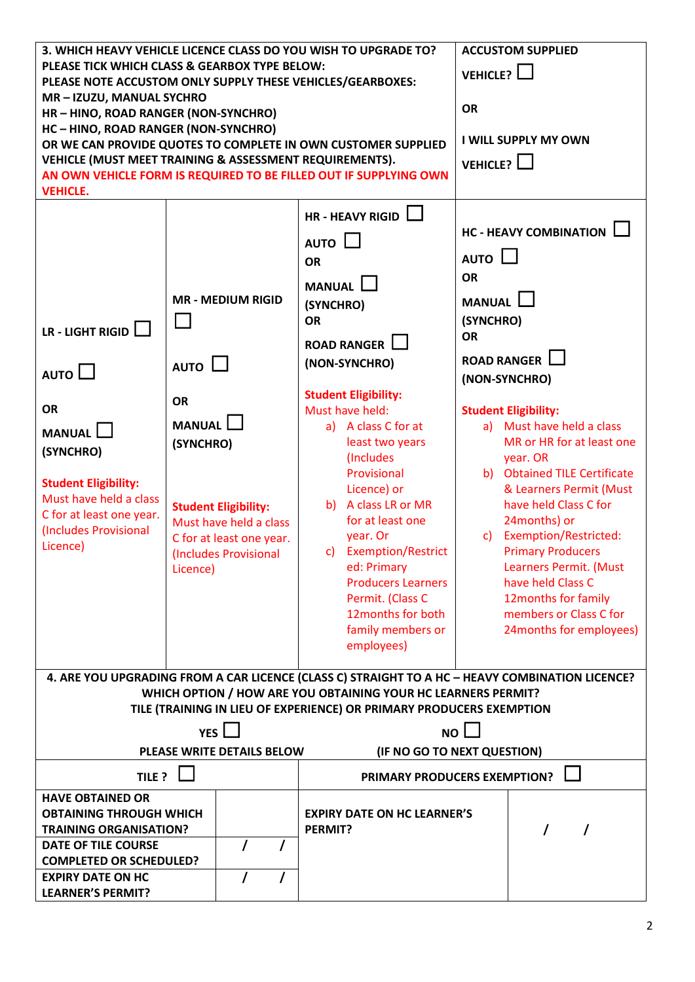| 3. WHICH HEAVY VEHICLE LICENCE CLASS DO YOU WISH TO UPGRADE TO?<br>PLEASE TICK WHICH CLASS & GEARBOX TYPE BELOW:<br>PLEASE NOTE ACCUSTOM ONLY SUPPLY THESE VEHICLES/GEARBOXES:<br>MR-IZUZU, MANUAL SYCHRO<br>HR-HINO, ROAD RANGER (NON-SYNCHRO)<br>HC-HINO, ROAD RANGER (NON-SYNCHRO)<br>OR WE CAN PROVIDE QUOTES TO COMPLETE IN OWN CUSTOMER SUPPLIED<br>VEHICLE (MUST MEET TRAINING & ASSESSMENT REQUIREMENTS).<br>AN OWN VEHICLE FORM IS REQUIRED TO BE FILLED OUT IF SUPPLYING OWN |                                                                                                                                                                                                       |  |                                                                               | <b>ACCUSTOM SUPPLIED</b><br><b>VEHICLE?</b> $\Box$<br><b>OR</b><br><b>I WILL SUPPLY MY OWN</b><br>$V$ EHICLE?                                                                                                                                                                                                                                                                                                                                                                                                                                                                                                                                                                                                                                                                                                                                                                                                                                                                                                        |
|----------------------------------------------------------------------------------------------------------------------------------------------------------------------------------------------------------------------------------------------------------------------------------------------------------------------------------------------------------------------------------------------------------------------------------------------------------------------------------------|-------------------------------------------------------------------------------------------------------------------------------------------------------------------------------------------------------|--|-------------------------------------------------------------------------------|----------------------------------------------------------------------------------------------------------------------------------------------------------------------------------------------------------------------------------------------------------------------------------------------------------------------------------------------------------------------------------------------------------------------------------------------------------------------------------------------------------------------------------------------------------------------------------------------------------------------------------------------------------------------------------------------------------------------------------------------------------------------------------------------------------------------------------------------------------------------------------------------------------------------------------------------------------------------------------------------------------------------|
| <b>VEHICLE.</b><br>$LR$ - LIGHT RIGID<br>AUTO<br><b>OR</b><br>MANUAL L<br>(SYNCHRO)<br><b>Student Eligibility:</b><br>Must have held a class<br>C for at least one year.<br>(Includes Provisional<br>Licence)                                                                                                                                                                                                                                                                          | <b>MR - MEDIUM RIGID</b><br>AUTO<br><b>OR</b><br><b>MANUAL</b><br>(SYNCHRO)<br><b>Student Eligibility:</b><br>Must have held a class<br>C for at least one year.<br>(Includes Provisional<br>Licence) |  |                                                                               | $HR - HEAVY RIGID$<br><b>HC - HEAVY COMBINATION</b><br>AUTO  <br>$AUTO$ $L$<br><b>OR</b><br><b>OR</b><br>MANUAL <b>N</b><br>MANUAL L<br>(SYNCHRO)<br>(SYNCHRO)<br><b>OR</b><br><b>OR</b><br><b>ROAD RANGER</b><br><b>ROAD RANGER</b> L<br>(NON-SYNCHRO)<br>(NON-SYNCHRO)<br><b>Student Eligibility:</b><br>Must have held:<br><b>Student Eligibility:</b><br>a) Must have held a class<br>a) A class C for at<br>MR or HR for at least one<br>least two years<br>(Includes<br>year. OR<br>Provisional<br>b) Obtained TILE Certificate<br>Licence) or<br>& Learners Permit (Must<br>b) A class LR or MR<br>have held Class C for<br>for at least one<br>24months) or<br>c) Exemption/Restricted:<br>year. Or<br><b>Primary Producers</b><br>c) Exemption/Restrict<br>ed: Primary<br>Learners Permit. (Must<br><b>Producers Learners</b><br>have held Class C<br>Permit. (Class C<br>12months for family<br>12months for both<br>members or Class C for<br>24 months for employees)<br>family members or<br>employees) |
| 4. ARE YOU UPGRADING FROM A CAR LICENCE (CLASS C) STRAIGHT TO A HC - HEAVY COMBINATION LICENCE?<br>WHICH OPTION / HOW ARE YOU OBTAINING YOUR HC LEARNERS PERMIT?<br>TILE (TRAINING IN LIEU OF EXPERIENCE) OR PRIMARY PRODUCERS EXEMPTION<br>YES<br>$NO$ $\Box$                                                                                                                                                                                                                         |                                                                                                                                                                                                       |  |                                                                               |                                                                                                                                                                                                                                                                                                                                                                                                                                                                                                                                                                                                                                                                                                                                                                                                                                                                                                                                                                                                                      |
| PLEASE WRITE DETAILS BELOW<br>(IF NO GO TO NEXT QUESTION)                                                                                                                                                                                                                                                                                                                                                                                                                              |                                                                                                                                                                                                       |  |                                                                               |                                                                                                                                                                                                                                                                                                                                                                                                                                                                                                                                                                                                                                                                                                                                                                                                                                                                                                                                                                                                                      |
| TILE ? $\Box$<br><b>HAVE OBTAINED OR</b><br><b>OBTAINING THROUGH WHICH</b><br><b>TRAINING ORGANISATION?</b><br>DATE OF TILE COURSE<br>I<br><b>COMPLETED OR SCHEDULED?</b><br>$\prime$<br><b>EXPIRY DATE ON HC</b><br><b>LEARNER'S PERMIT?</b>                                                                                                                                                                                                                                          |                                                                                                                                                                                                       |  | PRIMARY PRODUCERS EXEMPTION?<br><b>EXPIRY DATE ON HC LEARNER'S</b><br>PERMIT? |                                                                                                                                                                                                                                                                                                                                                                                                                                                                                                                                                                                                                                                                                                                                                                                                                                                                                                                                                                                                                      |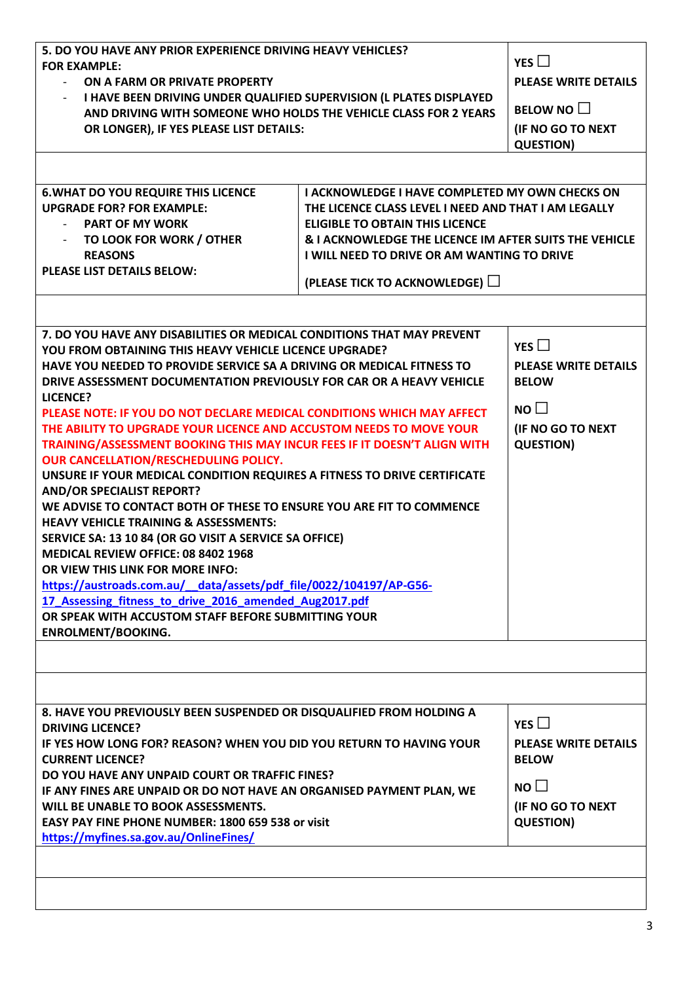| 5. DO YOU HAVE ANY PRIOR EXPERIENCE DRIVING HEAVY VEHICLES?<br><b>FOR EXAMPLE:</b><br>ON A FARM OR PRIVATE PROPERTY<br>I HAVE BEEN DRIVING UNDER QUALIFIED SUPERVISION (L PLATES DISPLAYED<br>$\overline{\phantom{a}}$<br>AND DRIVING WITH SOMEONE WHO HOLDS THE VEHICLE CLASS FOR 2 YEARS<br>OR LONGER), IF YES PLEASE LIST DETAILS:<br><b>6. WHAT DO YOU REQUIRE THIS LICENCE</b>                                                                                                                                                                                                                                                                                                                                                                                                                                                                                                                                                                                                                                                                                                                                                                                             | YES $\Box$<br><b>PLEASE WRITE DETAILS</b><br><b>BELOW NO <math>\Box</math></b><br>(IF NO GO TO NEXT<br><b>QUESTION)</b><br>I ACKNOWLEDGE I HAVE COMPLETED MY OWN CHECKS ON |                                                                                                                       |  |
|---------------------------------------------------------------------------------------------------------------------------------------------------------------------------------------------------------------------------------------------------------------------------------------------------------------------------------------------------------------------------------------------------------------------------------------------------------------------------------------------------------------------------------------------------------------------------------------------------------------------------------------------------------------------------------------------------------------------------------------------------------------------------------------------------------------------------------------------------------------------------------------------------------------------------------------------------------------------------------------------------------------------------------------------------------------------------------------------------------------------------------------------------------------------------------|----------------------------------------------------------------------------------------------------------------------------------------------------------------------------|-----------------------------------------------------------------------------------------------------------------------|--|
| <b>UPGRADE FOR? FOR EXAMPLE:</b><br>THE LICENCE CLASS LEVEL I NEED AND THAT I AM LEGALLY<br><b>PART OF MY WORK</b><br><b>ELIGIBLE TO OBTAIN THIS LICENCE</b><br>& I ACKNOWLEDGE THE LICENCE IM AFTER SUITS THE VEHICLE<br>TO LOOK FOR WORK / OTHER<br><b>REASONS</b><br>I WILL NEED TO DRIVE OR AM WANTING TO DRIVE<br><b>PLEASE LIST DETAILS BELOW:</b><br>(PLEASE TICK TO ACKNOWLEDGE) $\Box$                                                                                                                                                                                                                                                                                                                                                                                                                                                                                                                                                                                                                                                                                                                                                                                 |                                                                                                                                                                            |                                                                                                                       |  |
| 7. DO YOU HAVE ANY DISABILITIES OR MEDICAL CONDITIONS THAT MAY PREVENT<br>YOU FROM OBTAINING THIS HEAVY VEHICLE LICENCE UPGRADE?<br>HAVE YOU NEEDED TO PROVIDE SERVICE SA A DRIVING OR MEDICAL FITNESS TO<br>DRIVE ASSESSMENT DOCUMENTATION PREVIOUSLY FOR CAR OR A HEAVY VEHICLE<br>LICENCE?<br>PLEASE NOTE: IF YOU DO NOT DECLARE MEDICAL CONDITIONS WHICH MAY AFFECT<br>THE ABILITY TO UPGRADE YOUR LICENCE AND ACCUSTOM NEEDS TO MOVE YOUR<br>TRAINING/ASSESSMENT BOOKING THIS MAY INCUR FEES IF IT DOESN'T ALIGN WITH<br><b>OUR CANCELLATION/RESCHEDULING POLICY.</b><br>UNSURE IF YOUR MEDICAL CONDITION REQUIRES A FITNESS TO DRIVE CERTIFICATE<br><b>AND/OR SPECIALIST REPORT?</b><br>WE ADVISE TO CONTACT BOTH OF THESE TO ENSURE YOU ARE FIT TO COMMENCE<br><b>HEAVY VEHICLE TRAINING &amp; ASSESSMENTS:</b><br>SERVICE SA: 13 10 84 (OR GO VISIT A SERVICE SA OFFICE)<br>MEDICAL REVIEW OFFICE: 08 8402 1968<br>OR VIEW THIS LINK FOR MORE INFO:<br>https://austroads.com.au/ data/assets/pdf file/0022/104197/AP-G56-<br>17 Assessing fitness to drive 2016 amended Aug2017.pdf<br>OR SPEAK WITH ACCUSTOM STAFF BEFORE SUBMITTING YOUR<br><b>ENROLMENT/BOOKING.</b> | YES $\Box$<br><b>PLEASE WRITE DETAILS</b><br><b>BELOW</b><br>NO <sub>1</sub><br>(IF NO GO TO NEXT<br><b>QUESTION)</b>                                                      |                                                                                                                       |  |
| 8. HAVE YOU PREVIOUSLY BEEN SUSPENDED OR DISQUALIFIED FROM HOLDING A<br><b>DRIVING LICENCE?</b><br>IF YES HOW LONG FOR? REASON? WHEN YOU DID YOU RETURN TO HAVING YOUR<br><b>CURRENT LICENCE?</b><br>DO YOU HAVE ANY UNPAID COURT OR TRAFFIC FINES?<br>IF ANY FINES ARE UNPAID OR DO NOT HAVE AN ORGANISED PAYMENT PLAN, WE<br>WILL BE UNABLE TO BOOK ASSESSMENTS.<br>EASY PAY FINE PHONE NUMBER: 1800 659 538 or visit<br>https://myfines.sa.gov.au/OnlineFines/                                                                                                                                                                                                                                                                                                                                                                                                                                                                                                                                                                                                                                                                                                               |                                                                                                                                                                            | YES $\Box$<br><b>PLEASE WRITE DETAILS</b><br><b>BELOW</b><br>NO <sub>1</sub><br>(IF NO GO TO NEXT<br><b>QUESTION)</b> |  |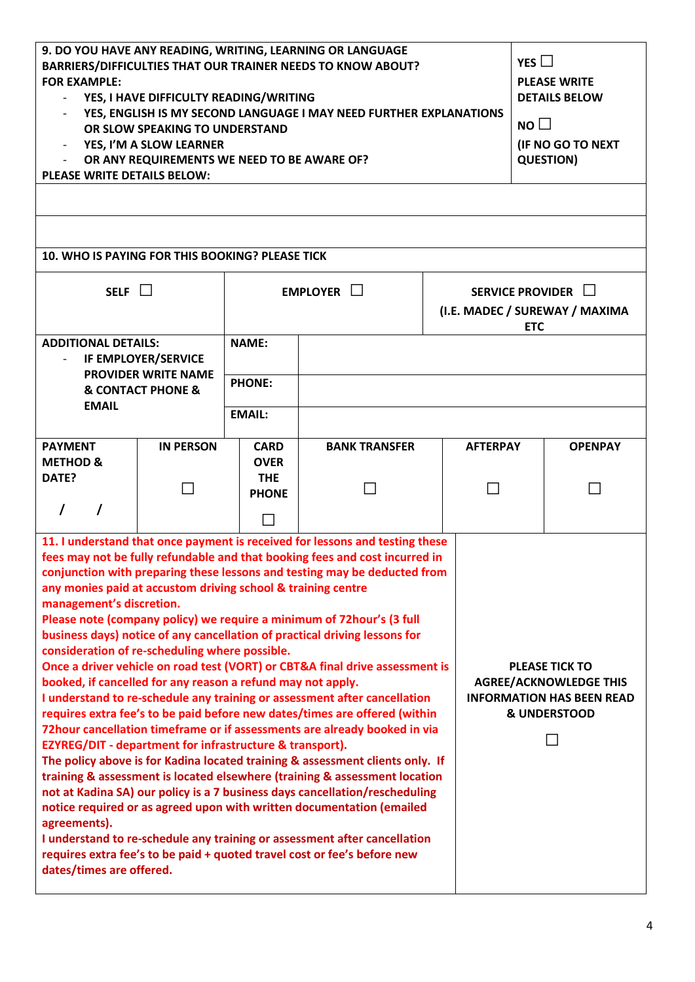| 9. DO YOU HAVE ANY READING, WRITING, LEARNING OR LANGUAGE<br>BARRIERS/DIFFICULTIES THAT OUR TRAINER NEEDS TO KNOW ABOUT?<br><b>FOR EXAMPLE:</b><br>YES, I HAVE DIFFICULTY READING/WRITING<br>YES, ENGLISH IS MY SECOND LANGUAGE I MAY NEED FURTHER EXPLANATIONS<br>OR SLOW SPEAKING TO UNDERSTAND<br>YES, I'M A SLOW LEARNER<br>OR ANY REQUIREMENTS WE NEED TO BE AWARE OF?<br>PLEASE WRITE DETAILS BELOW:                                                                                                                                                                                                                                                                                                                                                                                                                                                                                                                                                                                                                                                                                                                                                                                                                                                                                                                                                                                                                                                                                                                                                                                                                                            |                  |                                                          |                      |                 |                                                                         | <b>PLEASE WRITE</b><br><b>DETAILS BELOW</b><br>(IF NO GO TO NEXT<br><b>QUESTION)</b> |  |
|-------------------------------------------------------------------------------------------------------------------------------------------------------------------------------------------------------------------------------------------------------------------------------------------------------------------------------------------------------------------------------------------------------------------------------------------------------------------------------------------------------------------------------------------------------------------------------------------------------------------------------------------------------------------------------------------------------------------------------------------------------------------------------------------------------------------------------------------------------------------------------------------------------------------------------------------------------------------------------------------------------------------------------------------------------------------------------------------------------------------------------------------------------------------------------------------------------------------------------------------------------------------------------------------------------------------------------------------------------------------------------------------------------------------------------------------------------------------------------------------------------------------------------------------------------------------------------------------------------------------------------------------------------|------------------|----------------------------------------------------------|----------------------|-----------------|-------------------------------------------------------------------------|--------------------------------------------------------------------------------------|--|
| <b>10. WHO IS PAYING FOR THIS BOOKING? PLEASE TICK</b>                                                                                                                                                                                                                                                                                                                                                                                                                                                                                                                                                                                                                                                                                                                                                                                                                                                                                                                                                                                                                                                                                                                                                                                                                                                                                                                                                                                                                                                                                                                                                                                                |                  |                                                          |                      |                 |                                                                         |                                                                                      |  |
| SELF $\Box$                                                                                                                                                                                                                                                                                                                                                                                                                                                                                                                                                                                                                                                                                                                                                                                                                                                                                                                                                                                                                                                                                                                                                                                                                                                                                                                                                                                                                                                                                                                                                                                                                                           |                  | EMPLOYER $\Box$                                          |                      |                 | SERVICE PROVIDER $\Box$<br>(I.E. MADEC / SUREWAY / MAXIMA<br><b>ETC</b> |                                                                                      |  |
| <b>ADDITIONAL DETAILS:</b><br>IF EMPLOYER/SERVICE<br><b>PROVIDER WRITE NAME</b><br><b>&amp; CONTACT PHONE &amp;</b><br><b>EMAIL</b>                                                                                                                                                                                                                                                                                                                                                                                                                                                                                                                                                                                                                                                                                                                                                                                                                                                                                                                                                                                                                                                                                                                                                                                                                                                                                                                                                                                                                                                                                                                   |                  | <b>NAME:</b><br><b>PHONE:</b>                            |                      |                 |                                                                         |                                                                                      |  |
|                                                                                                                                                                                                                                                                                                                                                                                                                                                                                                                                                                                                                                                                                                                                                                                                                                                                                                                                                                                                                                                                                                                                                                                                                                                                                                                                                                                                                                                                                                                                                                                                                                                       |                  | <b>EMAIL:</b>                                            |                      |                 |                                                                         |                                                                                      |  |
| <b>PAYMENT</b><br><b>METHOD &amp;</b><br>DATE?<br>$\prime$                                                                                                                                                                                                                                                                                                                                                                                                                                                                                                                                                                                                                                                                                                                                                                                                                                                                                                                                                                                                                                                                                                                                                                                                                                                                                                                                                                                                                                                                                                                                                                                            | <b>IN PERSON</b> | <b>CARD</b><br><b>OVER</b><br><b>THE</b><br><b>PHONE</b> | <b>BANK TRANSFER</b> | <b>AFTERPAY</b> |                                                                         | <b>OPENPAY</b>                                                                       |  |
| 11. I understand that once payment is received for lessons and testing these<br>fees may not be fully refundable and that booking fees and cost incurred in<br>conjunction with preparing these lessons and testing may be deducted from<br>any monies paid at accustom driving school & training centre<br>management's discretion.<br>Please note (company policy) we require a minimum of 72hour's (3 full<br>business days) notice of any cancellation of practical driving lessons for<br>consideration of re-scheduling where possible.<br>Once a driver vehicle on road test (VORT) or CBT&A final drive assessment is<br><b>PLEASE TICK TO</b><br>booked, if cancelled for any reason a refund may not apply.<br><b>AGREE/ACKNOWLEDGE THIS</b><br>I understand to re-schedule any training or assessment after cancellation<br><b>INFORMATION HAS BEEN READ</b><br>requires extra fee's to be paid before new dates/times are offered (within<br><b>&amp; UNDERSTOOD</b><br>72hour cancellation timeframe or if assessments are already booked in via<br>EZYREG/DIT - department for infrastructure & transport).<br>The policy above is for Kadina located training & assessment clients only. If<br>training & assessment is located elsewhere (training & assessment location<br>not at Kadina SA) our policy is a 7 business days cancellation/rescheduling<br>notice required or as agreed upon with written documentation (emailed<br>agreements).<br>I understand to re-schedule any training or assessment after cancellation<br>requires extra fee's to be paid + quoted travel cost or fee's before new<br>dates/times are offered. |                  |                                                          |                      |                 |                                                                         |                                                                                      |  |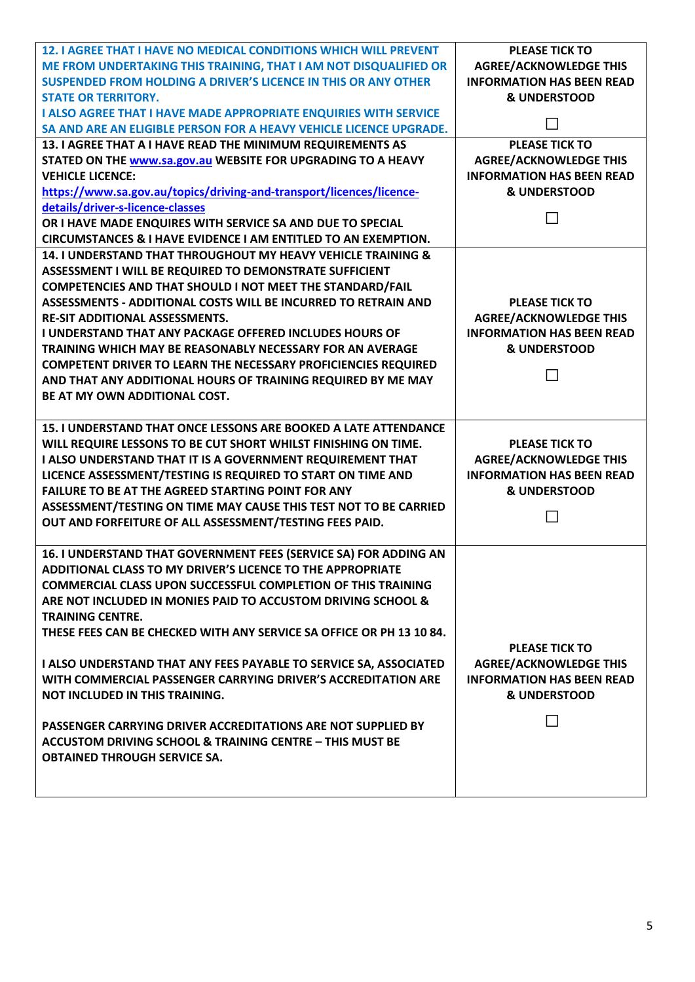| 12. I AGREE THAT I HAVE NO MEDICAL CONDITIONS WHICH WILL PREVENT      | <b>PLEASE TICK TO</b>            |
|-----------------------------------------------------------------------|----------------------------------|
| ME FROM UNDERTAKING THIS TRAINING, THAT I AM NOT DISQUALIFIED OR      | <b>AGREE/ACKNOWLEDGE THIS</b>    |
| SUSPENDED FROM HOLDING A DRIVER'S LICENCE IN THIS OR ANY OTHER        | <b>INFORMATION HAS BEEN READ</b> |
| <b>STATE OR TERRITORY.</b>                                            | <b>&amp; UNDERSTOOD</b>          |
| I ALSO AGREE THAT I HAVE MADE APPROPRIATE ENQUIRIES WITH SERVICE      |                                  |
| SA AND ARE AN ELIGIBLE PERSON FOR A HEAVY VEHICLE LICENCE UPGRADE.    |                                  |
| 13. I AGREE THAT A I HAVE READ THE MINIMUM REQUIREMENTS AS            | <b>PLEASE TICK TO</b>            |
| STATED ON THE www.sa.gov.au WEBSITE FOR UPGRADING TO A HEAVY          | <b>AGREE/ACKNOWLEDGE THIS</b>    |
| <b>VEHICLE LICENCE:</b>                                               | <b>INFORMATION HAS BEEN READ</b> |
| https://www.sa.gov.au/topics/driving-and-transport/licences/licence-  | <b>&amp; UNDERSTOOD</b>          |
| details/driver-s-licence-classes                                      |                                  |
| OR I HAVE MADE ENQUIRES WITH SERVICE SA AND DUE TO SPECIAL            |                                  |
| CIRCUMSTANCES & I HAVE EVIDENCE I AM ENTITLED TO AN EXEMPTION.        |                                  |
| 14. I UNDERSTAND THAT THROUGHOUT MY HEAVY VEHICLE TRAINING &          |                                  |
| ASSESSMENT I WILL BE REQUIRED TO DEMONSTRATE SUFFICIENT               |                                  |
| COMPETENCIES AND THAT SHOULD I NOT MEET THE STANDARD/FAIL             |                                  |
| ASSESSMENTS - ADDITIONAL COSTS WILL BE INCURRED TO RETRAIN AND        | <b>PLEASE TICK TO</b>            |
| <b>RE-SIT ADDITIONAL ASSESSMENTS.</b>                                 | <b>AGREE/ACKNOWLEDGE THIS</b>    |
| <b>I UNDERSTAND THAT ANY PACKAGE OFFERED INCLUDES HOURS OF</b>        | <b>INFORMATION HAS BEEN READ</b> |
| TRAINING WHICH MAY BE REASONABLY NECESSARY FOR AN AVERAGE             | <b>&amp; UNDERSTOOD</b>          |
| <b>COMPETENT DRIVER TO LEARN THE NECESSARY PROFICIENCIES REQUIRED</b> |                                  |
| AND THAT ANY ADDITIONAL HOURS OF TRAINING REQUIRED BY ME MAY          |                                  |
| BE AT MY OWN ADDITIONAL COST.                                         |                                  |
|                                                                       |                                  |
| 15. I UNDERSTAND THAT ONCE LESSONS ARE BOOKED A LATE ATTENDANCE       |                                  |
| WILL REQUIRE LESSONS TO BE CUT SHORT WHILST FINISHING ON TIME.        | <b>PLEASE TICK TO</b>            |
| I ALSO UNDERSTAND THAT IT IS A GOVERNMENT REQUIREMENT THAT            | <b>AGREE/ACKNOWLEDGE THIS</b>    |
| LICENCE ASSESSMENT/TESTING IS REQUIRED TO START ON TIME AND           | <b>INFORMATION HAS BEEN READ</b> |
| <b>FAILURE TO BE AT THE AGREED STARTING POINT FOR ANY</b>             | <b>&amp; UNDERSTOOD</b>          |
| ASSESSMENT/TESTING ON TIME MAY CAUSE THIS TEST NOT TO BE CARRIED      |                                  |
| OUT AND FORFEITURE OF ALL ASSESSMENT/TESTING FEES PAID.               |                                  |
|                                                                       |                                  |
| 16. I UNDERSTAND THAT GOVERNMENT FEES (SERVICE SA) FOR ADDING AN      |                                  |
| <b>ADDITIONAL CLASS TO MY DRIVER'S LICENCE TO THE APPROPRIATE</b>     |                                  |
| <b>COMMERCIAL CLASS UPON SUCCESSFUL COMPLETION OF THIS TRAINING</b>   |                                  |
| ARE NOT INCLUDED IN MONIES PAID TO ACCUSTOM DRIVING SCHOOL &          |                                  |
| <b>TRAINING CENTRE.</b>                                               |                                  |
| THESE FEES CAN BE CHECKED WITH ANY SERVICE SA OFFICE OR PH 13 10 84.  |                                  |
|                                                                       | <b>PLEASE TICK TO</b>            |
| I ALSO UNDERSTAND THAT ANY FEES PAYABLE TO SERVICE SA, ASSOCIATED     | <b>AGREE/ACKNOWLEDGE THIS</b>    |
| WITH COMMERCIAL PASSENGER CARRYING DRIVER'S ACCREDITATION ARE         | <b>INFORMATION HAS BEEN READ</b> |
| <b>NOT INCLUDED IN THIS TRAINING.</b>                                 | & UNDERSTOOD                     |
|                                                                       |                                  |
| <b>PASSENGER CARRYING DRIVER ACCREDITATIONS ARE NOT SUPPLIED BY</b>   | $\Box$                           |
| <b>ACCUSTOM DRIVING SCHOOL &amp; TRAINING CENTRE - THIS MUST BE</b>   |                                  |
| <b>OBTAINED THROUGH SERVICE SA.</b>                                   |                                  |
|                                                                       |                                  |
|                                                                       |                                  |
|                                                                       |                                  |